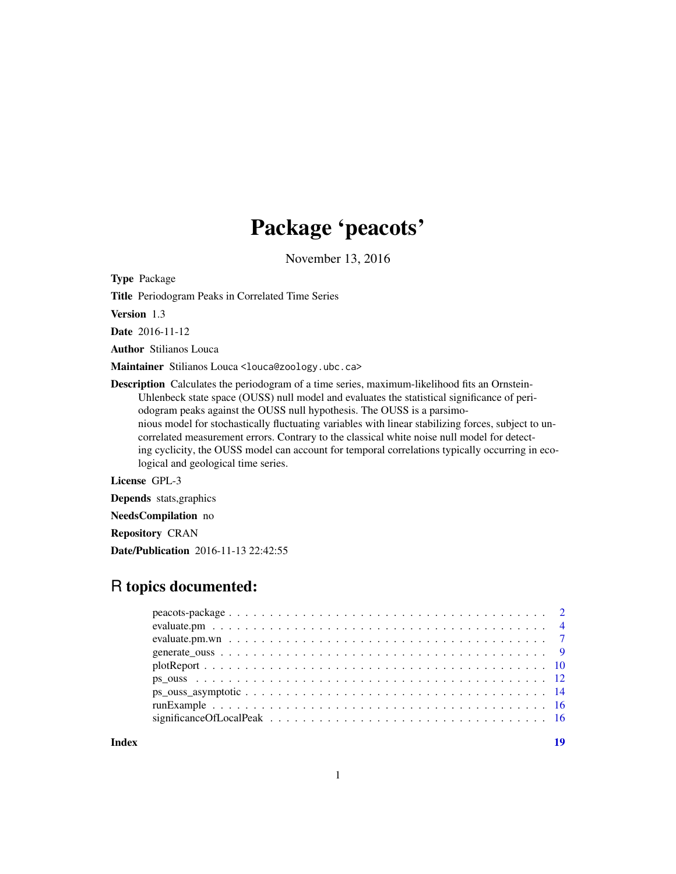## Package 'peacots'

November 13, 2016

Type Package

Title Periodogram Peaks in Correlated Time Series

Version 1.3

Date 2016-11-12

Author Stilianos Louca

Maintainer Stilianos Louca <louca@zoology.ubc.ca>

Description Calculates the periodogram of a time series, maximum-likelihood fits an Ornstein-Uhlenbeck state space (OUSS) null model and evaluates the statistical significance of periodogram peaks against the OUSS null hypothesis. The OUSS is a parsimonious model for stochastically fluctuating variables with linear stabilizing forces, subject to uncorrelated measurement errors. Contrary to the classical white noise null model for detecting cyclicity, the OUSS model can account for temporal correlations typically occurring in ecological and geological time series.

License GPL-3

Depends stats,graphics

NeedsCompilation no

Repository CRAN

Date/Publication 2016-11-13 22:42:55

## R topics documented:

**Index** 2008 **[19](#page-18-0)99**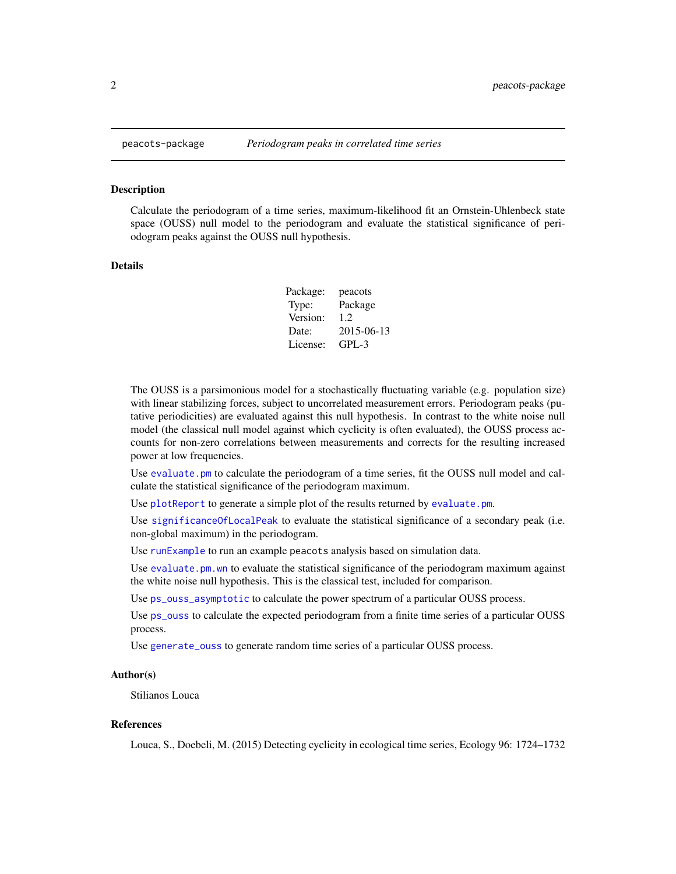<span id="page-1-0"></span>

Calculate the periodogram of a time series, maximum-likelihood fit an Ornstein-Uhlenbeck state space (OUSS) null model to the periodogram and evaluate the statistical significance of periodogram peaks against the OUSS null hypothesis.

#### Details

Package: peacots Type: Package Version: 1.2 Date: 2015-06-13 License: GPL-3

The OUSS is a parsimonious model for a stochastically fluctuating variable (e.g. population size) with linear stabilizing forces, subject to uncorrelated measurement errors. Periodogram peaks (putative periodicities) are evaluated against this null hypothesis. In contrast to the white noise null model (the classical null model against which cyclicity is often evaluated), the OUSS process accounts for non-zero correlations between measurements and corrects for the resulting increased power at low frequencies.

Use [evaluate.pm](#page-3-1) to calculate the periodogram of a time series, fit the OUSS null model and calculate the statistical significance of the periodogram maximum.

Use [plotReport](#page-9-1) to generate a simple plot of the results returned by [evaluate.pm](#page-3-1).

Use [significanceOfLocalPeak](#page-15-1) to evaluate the statistical significance of a secondary peak (i.e. non-global maximum) in the periodogram.

Use [runExample](#page-15-2) to run an example peacots analysis based on simulation data.

Use evaluate.pm, wn to evaluate the statistical significance of the periodogram maximum against the white noise null hypothesis. This is the classical test, included for comparison.

Use [ps\\_ouss\\_asymptotic](#page-13-1) to calculate the power spectrum of a particular OUSS process.

Use [ps\\_ouss](#page-11-1) to calculate the expected periodogram from a finite time series of a particular OUSS process.

Use [generate\\_ouss](#page-8-1) to generate random time series of a particular OUSS process.

## Author(s)

Stilianos Louca

## References

Louca, S., Doebeli, M. (2015) Detecting cyclicity in ecological time series, Ecology 96: 1724–1732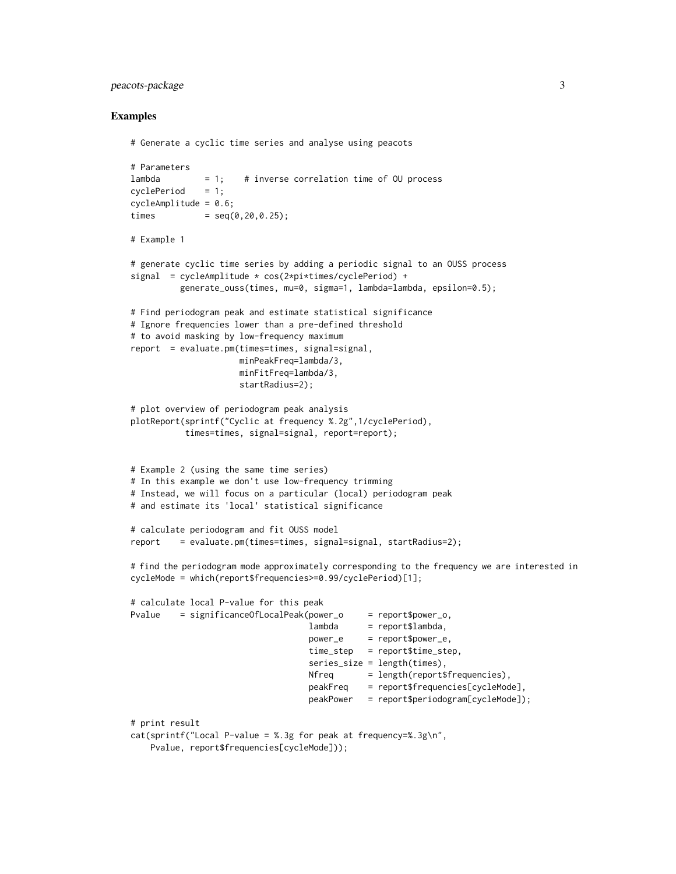## peacots-package 3

```
# Generate a cyclic time series and analyse using peacots
# Parameters
lambda = 1; # inverse correlation time of OU process
cyclePeriod = 1;cycleAmplitude = 0.6;
times = seq(0, 20, 0.25);
# Example 1
# generate cyclic time series by adding a periodic signal to an OUSS process
signal = cycleAmplitude * cos(2*pi*times/cyclePeriod) +
         generate_ouss(times, mu=0, sigma=1, lambda=lambda, epsilon=0.5);
# Find periodogram peak and estimate statistical significance
# Ignore frequencies lower than a pre-defined threshold
# to avoid masking by low-frequency maximum
report = evaluate.pm(times=times, signal=signal,
                     minPeakFreq=lambda/3,
                     minFitFreq=lambda/3,
                     startRadius=2);
# plot overview of periodogram peak analysis
plotReport(sprintf("Cyclic at frequency %.2g",1/cyclePeriod),
          times=times, signal=signal, report=report);
# Example 2 (using the same time series)
# In this example we don't use low-frequency trimming
# Instead, we will focus on a particular (local) periodogram peak
# and estimate its 'local' statistical significance
# calculate periodogram and fit OUSS model
report = evaluate.pm(times=times, signal=signal, startRadius=2);
# find the periodogram mode approximately corresponding to the frequency we are interested in
cycleMode = which(report$frequencies>=0.99/cyclePeriod)[1];
# calculate local P-value for this peak
Pvalue = significanceOfLocalPeak(power_o = report$power_o,
                                   lambda = report$lambda,power_e = report$power_e,
                                   time_step = report$time_step,
                                   series_size = length(times),
                                   Nfreq = length(report$frequencies),
                                   peakFreq = report$frequencies[cycleMode],
                                   peakPower = report$periodogram[cycleMode]);
# print result
cat(sprintf("Local P-value = %.3g for peak at frequency=%.3g\n",
   Pvalue, report$frequencies[cycleMode]));
```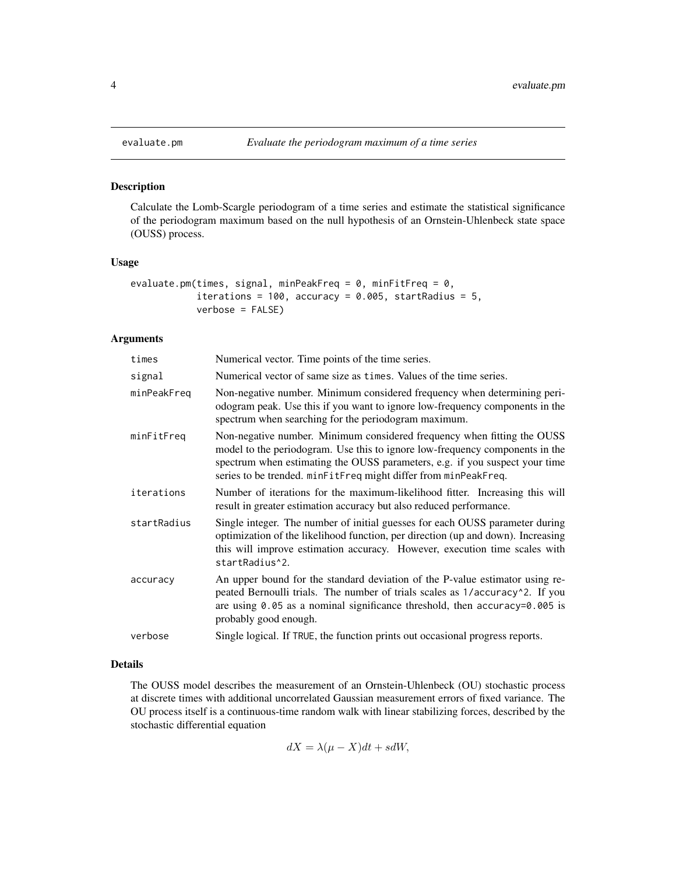<span id="page-3-1"></span><span id="page-3-0"></span>

Calculate the Lomb-Scargle periodogram of a time series and estimate the statistical significance of the periodogram maximum based on the null hypothesis of an Ornstein-Uhlenbeck state space (OUSS) process.

## Usage

```
evaluate.pm(times, signal, minPeakFreq = 0, minFitFreq = 0,
            iterations = 100, accuracy = 0.005, startRadius = 5,
            verbose = FALSE)
```
## Arguments

| times       | Numerical vector. Time points of the time series.                                                                                                                                                                                                                                                         |
|-------------|-----------------------------------------------------------------------------------------------------------------------------------------------------------------------------------------------------------------------------------------------------------------------------------------------------------|
| signal      | Numerical vector of same size as times. Values of the time series.                                                                                                                                                                                                                                        |
| minPeakFreq | Non-negative number. Minimum considered frequency when determining peri-<br>odogram peak. Use this if you want to ignore low-frequency components in the<br>spectrum when searching for the periodogram maximum.                                                                                          |
| minFitFreq  | Non-negative number. Minimum considered frequency when fitting the OUSS<br>model to the periodogram. Use this to ignore low-frequency components in the<br>spectrum when estimating the OUSS parameters, e.g. if you suspect your time<br>series to be trended. minFitFreq might differ from minPeakFreq. |
| iterations  | Number of iterations for the maximum-likelihood fitter. Increasing this will<br>result in greater estimation accuracy but also reduced performance.                                                                                                                                                       |
| startRadius | Single integer. The number of initial guesses for each OUSS parameter during<br>optimization of the likelihood function, per direction (up and down). Increasing<br>this will improve estimation accuracy. However, execution time scales with<br>startRadius <sup>1</sup> 2.                             |
| accuracy    | An upper bound for the standard deviation of the P-value estimator using re-<br>peated Bernoulli trials. The number of trials scales as 1/accuracy^2. If you<br>are using $0.05$ as a nominal significance threshold, then accuracy= $0.005$ is<br>probably good enough.                                  |
| verbose     | Single logical. If TRUE, the function prints out occasional progress reports.                                                                                                                                                                                                                             |

## Details

The OUSS model describes the measurement of an Ornstein-Uhlenbeck (OU) stochastic process at discrete times with additional uncorrelated Gaussian measurement errors of fixed variance. The OU process itself is a continuous-time random walk with linear stabilizing forces, described by the stochastic differential equation

$$
dX = \lambda(\mu - X)dt + sdW,
$$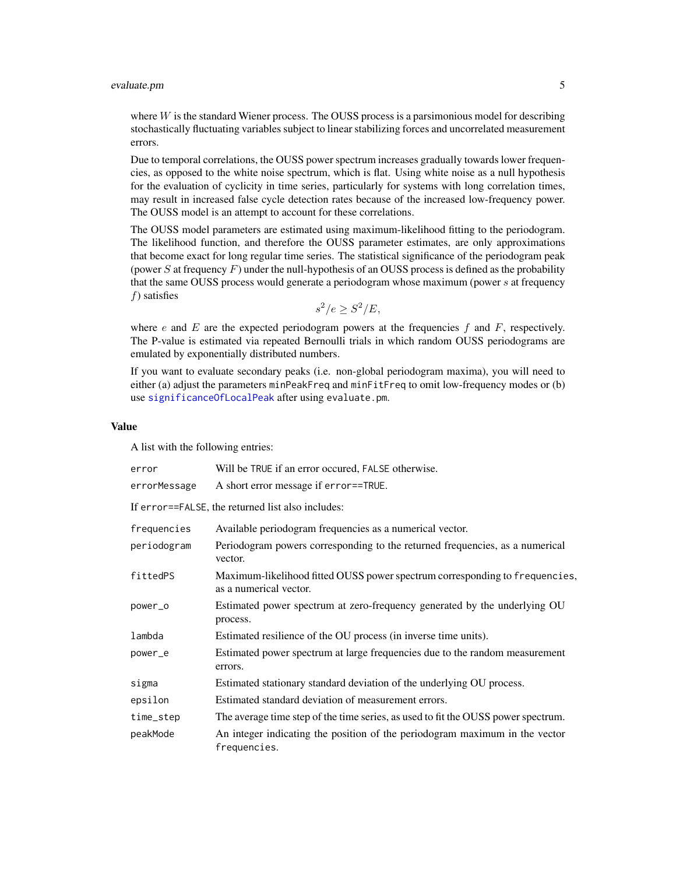## <span id="page-4-0"></span>evaluate.pm 5

where  $W$  is the standard Wiener process. The OUSS process is a parsimonious model for describing stochastically fluctuating variables subject to linear stabilizing forces and uncorrelated measurement errors.

Due to temporal correlations, the OUSS power spectrum increases gradually towards lower frequencies, as opposed to the white noise spectrum, which is flat. Using white noise as a null hypothesis for the evaluation of cyclicity in time series, particularly for systems with long correlation times, may result in increased false cycle detection rates because of the increased low-frequency power. The OUSS model is an attempt to account for these correlations.

The OUSS model parameters are estimated using maximum-likelihood fitting to the periodogram. The likelihood function, and therefore the OUSS parameter estimates, are only approximations that become exact for long regular time series. The statistical significance of the periodogram peak (power  $S$  at frequency  $F$ ) under the null-hypothesis of an OUSS process is defined as the probability that the same OUSS process would generate a periodogram whose maximum (power s at frequency  $f$ ) satisfies

$$
s^2/e \ge S^2/E,
$$

where e and  $E$  are the expected periodogram powers at the frequencies  $f$  and  $F$ , respectively. The P-value is estimated via repeated Bernoulli trials in which random OUSS periodograms are emulated by exponentially distributed numbers.

If you want to evaluate secondary peaks (i.e. non-global periodogram maxima), you will need to either (a) adjust the parameters minPeakFreq and minFitFreq to omit low-frequency modes or (b) use [significanceOfLocalPeak](#page-15-1) after using evaluate.pm.

## Value

A list with the following entries:

| error        | Will be TRUE if an error occured, FALSE otherwise.                                                    |
|--------------|-------------------------------------------------------------------------------------------------------|
| errorMessage | A short error message if error==TRUE.                                                                 |
|              | If error==FALSE, the returned list also includes:                                                     |
| frequencies  | Available periodogram frequencies as a numerical vector.                                              |
| periodogram  | Periodogram powers corresponding to the returned frequencies, as a numerical<br>vector.               |
| fittedPS     | Maximum-likelihood fitted OUSS power spectrum corresponding to frequencies,<br>as a numerical vector. |
| power_o      | Estimated power spectrum at zero-frequency generated by the underlying OU<br>process.                 |
| lambda       | Estimated resilience of the OU process (in inverse time units).                                       |
| power_e      | Estimated power spectrum at large frequencies due to the random measurement<br>errors.                |
| sigma        | Estimated stationary standard deviation of the underlying OU process.                                 |
| epsilon      | Estimated standard deviation of measurement errors.                                                   |
| time_step    | The average time step of the time series, as used to fit the OUSS power spectrum.                     |
| peakMode     | An integer indicating the position of the periodogram maximum in the vector<br>frequencies.           |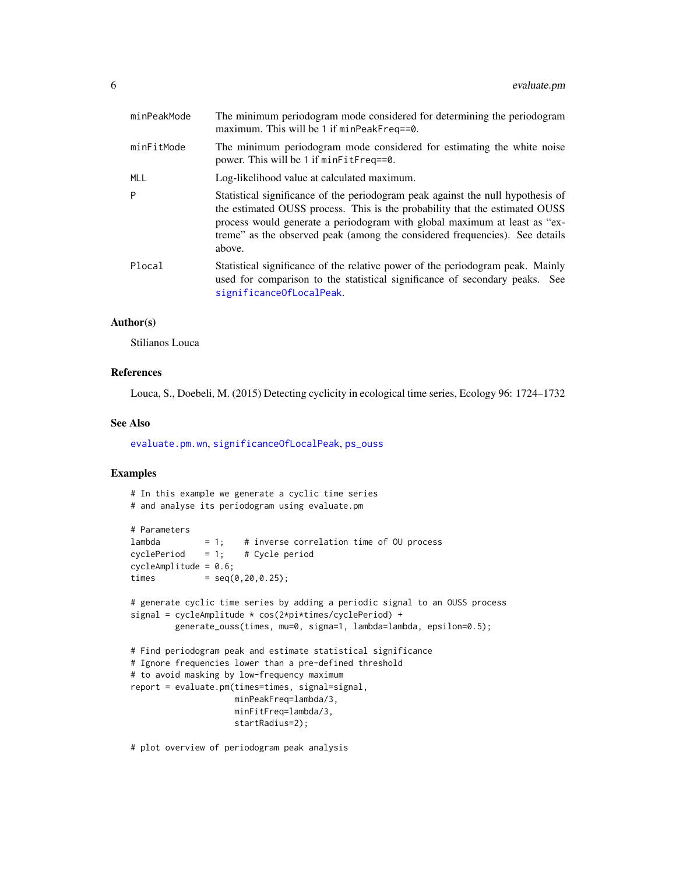<span id="page-5-0"></span>

| minPeakMode | The minimum periodogram mode considered for determining the periodogram<br>maximum. This will be 1 if $minPeakFreq=0$ .                                                                                                                                                                                                              |
|-------------|--------------------------------------------------------------------------------------------------------------------------------------------------------------------------------------------------------------------------------------------------------------------------------------------------------------------------------------|
| minFitMode  | The minimum periodogram mode considered for estimating the white noise<br>power. This will be 1 if minFitFreq==0.                                                                                                                                                                                                                    |
| <b>MLL</b>  | Log-likelihood value at calculated maximum.                                                                                                                                                                                                                                                                                          |
| P           | Statistical significance of the periodogram peak against the null hypothesis of<br>the estimated OUSS process. This is the probability that the estimated OUSS<br>process would generate a periodogram with global maximum at least as "ex-<br>treme" as the observed peak (among the considered frequencies). See details<br>above. |
| Plocal      | Statistical significance of the relative power of the periodogram peak. Mainly<br>used for comparison to the statistical significance of secondary peaks. See<br>significanceOfLocalPeak.                                                                                                                                            |

## Author(s)

Stilianos Louca

## References

Louca, S., Doebeli, M. (2015) Detecting cyclicity in ecological time series, Ecology 96: 1724–1732

## See Also

[evaluate.pm.wn](#page-6-1), [significanceOfLocalPeak](#page-15-1), [ps\\_ouss](#page-11-1)

## Examples

```
# In this example we generate a cyclic time series
# and analyse its periodogram using evaluate.pm
# Parameters
lambda = 1; # inverse correlation time of OU process cvclePeriod = 1: # Cycle period
cyclePeriod = 1; # Cycle period
cycleAmplitude = 0.6;
times = seq(0, 20, 0.25);
# generate cyclic time series by adding a periodic signal to an OUSS process
signal = cycleAmplitude * cos(2*pi*times/cyclePeriod) +
         generate_ouss(times, mu=0, sigma=1, lambda=lambda, epsilon=0.5);
# Find periodogram peak and estimate statistical significance
# Ignore frequencies lower than a pre-defined threshold
# to avoid masking by low-frequency maximum
report = evaluate.pm(times=times, signal=signal,
                     minPeakFreq=lambda/3,
                     minFitFreq=lambda/3,
                     startRadius=2);
```
# plot overview of periodogram peak analysis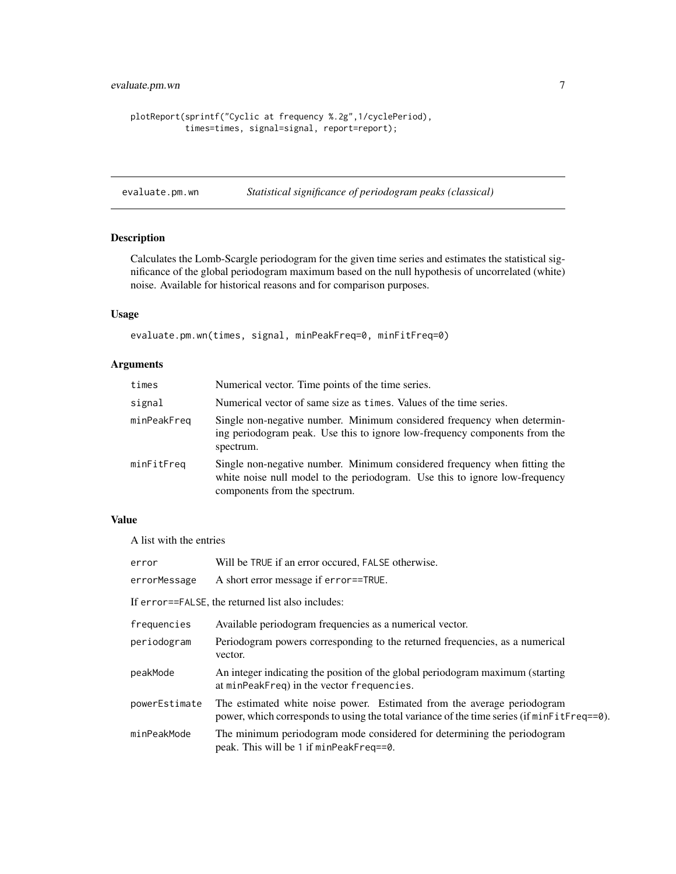```
plotReport(sprintf("Cyclic at frequency %.2g",1/cyclePeriod),
          times=times, signal=signal, report=report);
```
<span id="page-6-1"></span>evaluate.pm.wn *Statistical significance of periodogram peaks (classical)*

## Description

Calculates the Lomb-Scargle periodogram for the given time series and estimates the statistical significance of the global periodogram maximum based on the null hypothesis of uncorrelated (white) noise. Available for historical reasons and for comparison purposes.

## Usage

evaluate.pm.wn(times, signal, minPeakFreq=0, minFitFreq=0)

## Arguments

| times       | Numerical vector. Time points of the time series.                                                                                                                                         |
|-------------|-------------------------------------------------------------------------------------------------------------------------------------------------------------------------------------------|
| signal      | Numerical vector of same size as times. Values of the time series.                                                                                                                        |
| minPeakFreq | Single non-negative number. Minimum considered frequency when determin-<br>ing periodogram peak. Use this to ignore low-frequency components from the<br>spectrum.                        |
| minFitFreq  | Single non-negative number. Minimum considered frequency when fitting the<br>white noise null model to the periodogram. Use this to ignore low-frequency<br>components from the spectrum. |

## Value

A list with the entries

| error         | Will be TRUE if an error occured, FALSE otherwise.                                                                                                                     |
|---------------|------------------------------------------------------------------------------------------------------------------------------------------------------------------------|
| errorMessage  | A short error message if error==TRUE.                                                                                                                                  |
|               | If error==FALSE, the returned list also includes:                                                                                                                      |
| frequencies   | Available periodogram frequencies as a numerical vector.                                                                                                               |
| periodogram   | Periodogram powers corresponding to the returned frequencies, as a numerical<br>vector.                                                                                |
| peakMode      | An integer indicating the position of the global periodogram maximum (starting<br>at minPeakFreq) in the vector frequencies.                                           |
| powerEstimate | The estimated white noise power. Estimated from the average periodogram<br>power, which corresponds to using the total variance of the time series (if minFitFreq==0). |
| minPeakMode   | The minimum periodogram mode considered for determining the periodogram<br>peak. This will be 1 if minPeakFreq==0.                                                     |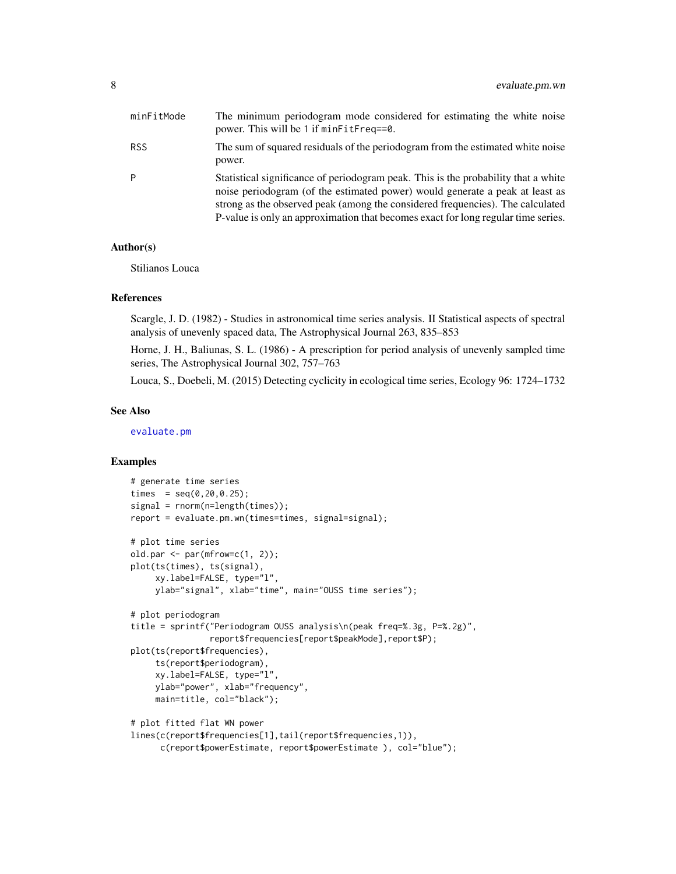<span id="page-7-0"></span>

| minFitMode | The minimum periodogram mode considered for estimating the white noise<br>power. This will be 1 if minFitFreq==0.                                                                                                                                                                                                                         |
|------------|-------------------------------------------------------------------------------------------------------------------------------------------------------------------------------------------------------------------------------------------------------------------------------------------------------------------------------------------|
| RSS        | The sum of squared residuals of the periodogram from the estimated white noise<br>power.                                                                                                                                                                                                                                                  |
| Þ          | Statistical significance of periodogram peak. This is the probability that a white<br>noise periodogram (of the estimated power) would generate a peak at least as<br>strong as the observed peak (among the considered frequencies). The calculated<br>P-value is only an approximation that becomes exact for long regular time series. |

#### Author(s)

Stilianos Louca

## References

Scargle, J. D. (1982) - Studies in astronomical time series analysis. II Statistical aspects of spectral analysis of unevenly spaced data, The Astrophysical Journal 263, 835–853

Horne, J. H., Baliunas, S. L. (1986) - A prescription for period analysis of unevenly sampled time series, The Astrophysical Journal 302, 757–763

Louca, S., Doebeli, M. (2015) Detecting cyclicity in ecological time series, Ecology 96: 1724–1732

### See Also

[evaluate.pm](#page-3-1)

```
# generate time series
times = seq(0, 20, 0.25);
signal = rnorm(n=length(times));
report = evaluate.pm.wn(times=times, signal=signal);
# plot time series
old.par \leq par(mfrow=c(1, 2));
plot(ts(times), ts(signal),
     xy.label=FALSE, type="l",
     ylab="signal", xlab="time", main="OUSS time series");
# plot periodogram
title = sprintf("Periodogram OUSS analysis\n(peak freq=%.3g, P=%.2g)",
                report$frequencies[report$peakMode],report$P);
plot(ts(report$frequencies),
     ts(report$periodogram),
     xy.label=FALSE, type="l",
     ylab="power", xlab="frequency",
    main=title, col="black");
# plot fitted flat WN power
lines(c(report$frequencies[1],tail(report$frequencies,1)),
     c(report$powerEstimate, report$powerEstimate ), col="blue");
```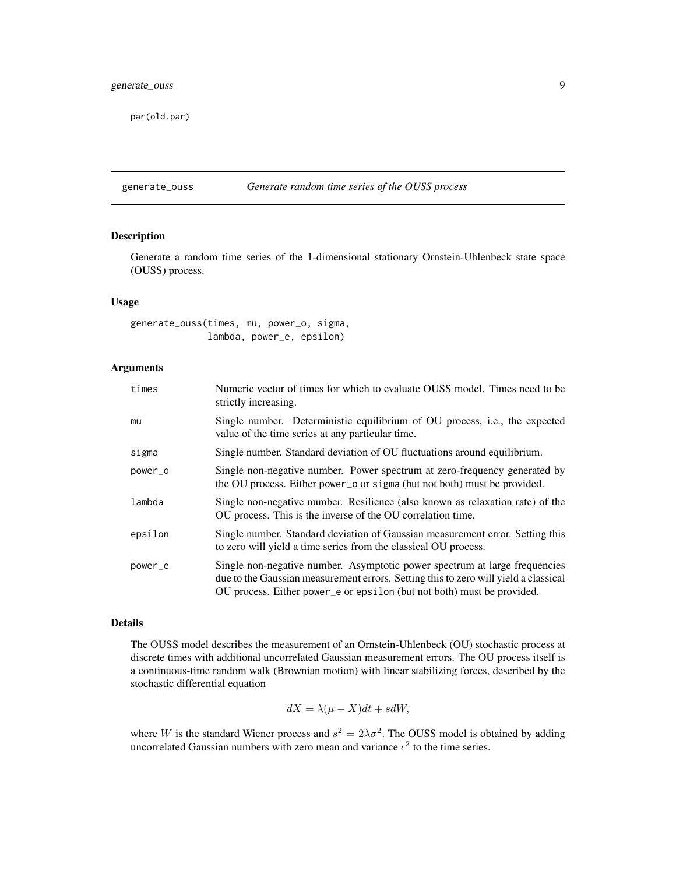<span id="page-8-0"></span>par(old.par)

<span id="page-8-1"></span>generate\_ouss *Generate random time series of the OUSS process*

## Description

Generate a random time series of the 1-dimensional stationary Ornstein-Uhlenbeck state space (OUSS) process.

### Usage

generate\_ouss(times, mu, power\_o, sigma, lambda, power\_e, epsilon)

## Arguments

| times   | Numeric vector of times for which to evaluate OUSS model. Times need to be<br>strictly increasing.                                                                                                                                          |
|---------|---------------------------------------------------------------------------------------------------------------------------------------------------------------------------------------------------------------------------------------------|
| mu      | Single number. Deterministic equilibrium of OU process, i.e., the expected<br>value of the time series at any particular time.                                                                                                              |
| sigma   | Single number. Standard deviation of OU fluctuations around equilibrium.                                                                                                                                                                    |
| power_o | Single non-negative number. Power spectrum at zero-frequency generated by<br>the OU process. Either power _o or sigma (but not both) must be provided.                                                                                      |
| lambda  | Single non-negative number. Resilience (also known as relaxation rate) of the<br>OU process. This is the inverse of the OU correlation time.                                                                                                |
| epsilon | Single number. Standard deviation of Gaussian measurement error. Setting this<br>to zero will yield a time series from the classical OU process.                                                                                            |
| power_e | Single non-negative number. Asymptotic power spectrum at large frequencies<br>due to the Gaussian measurement errors. Setting this to zero will yield a classical<br>OU process. Either power_e or epsilon (but not both) must be provided. |

#### Details

The OUSS model describes the measurement of an Ornstein-Uhlenbeck (OU) stochastic process at discrete times with additional uncorrelated Gaussian measurement errors. The OU process itself is a continuous-time random walk (Brownian motion) with linear stabilizing forces, described by the stochastic differential equation

$$
dX = \lambda(\mu - X)dt + sdW,
$$

where W is the standard Wiener process and  $s^2 = 2\lambda\sigma^2$ . The OUSS model is obtained by adding uncorrelated Gaussian numbers with zero mean and variance  $\epsilon^2$  to the time series.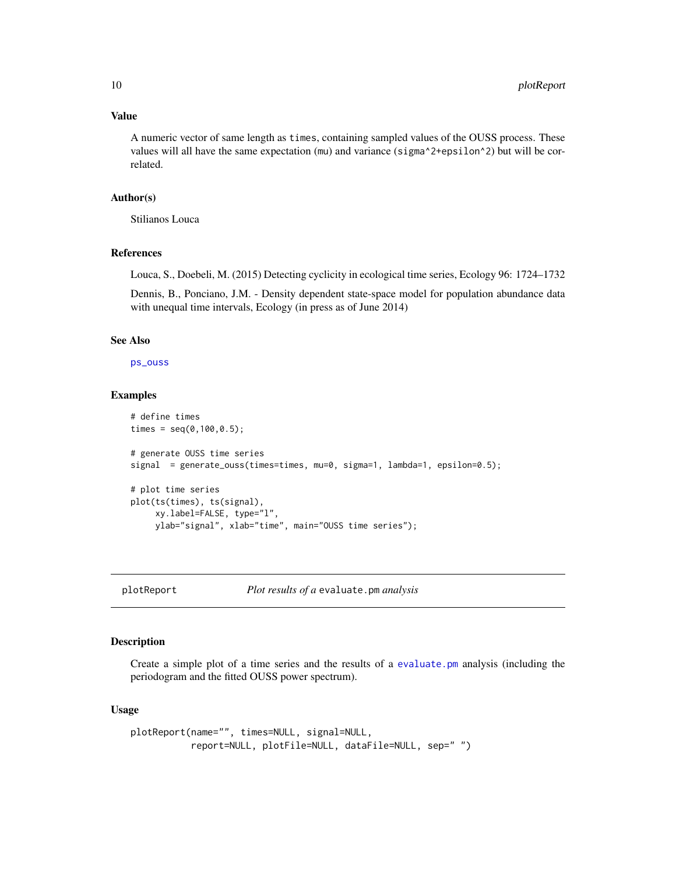## Value

A numeric vector of same length as times, containing sampled values of the OUSS process. These values will all have the same expectation (mu) and variance (sigma^2+epsilon^2) but will be correlated.

## Author(s)

Stilianos Louca

## References

Louca, S., Doebeli, M. (2015) Detecting cyclicity in ecological time series, Ecology 96: 1724–1732

Dennis, B., Ponciano, J.M. - Density dependent state-space model for population abundance data with unequal time intervals, Ecology (in press as of June 2014)

#### See Also

[ps\\_ouss](#page-11-1)

#### Examples

```
# define times
times = seq(0, 100, 0.5);
# generate OUSS time series
signal = generate_ouss(times=times, mu=0, sigma=1, lambda=1, epsilon=0.5);
# plot time series
plot(ts(times), ts(signal),
    xy.label=FALSE, type="l",
    ylab="signal", xlab="time", main="OUSS time series");
```
<span id="page-9-1"></span>

plotReport *Plot results of a* evaluate.pm *analysis*

#### Description

Create a simple plot of a time series and the results of a [evaluate.pm](#page-3-1) analysis (including the periodogram and the fitted OUSS power spectrum).

## Usage

```
plotReport(name="", times=NULL, signal=NULL,
           report=NULL, plotFile=NULL, dataFile=NULL, sep=" ")
```
<span id="page-9-0"></span>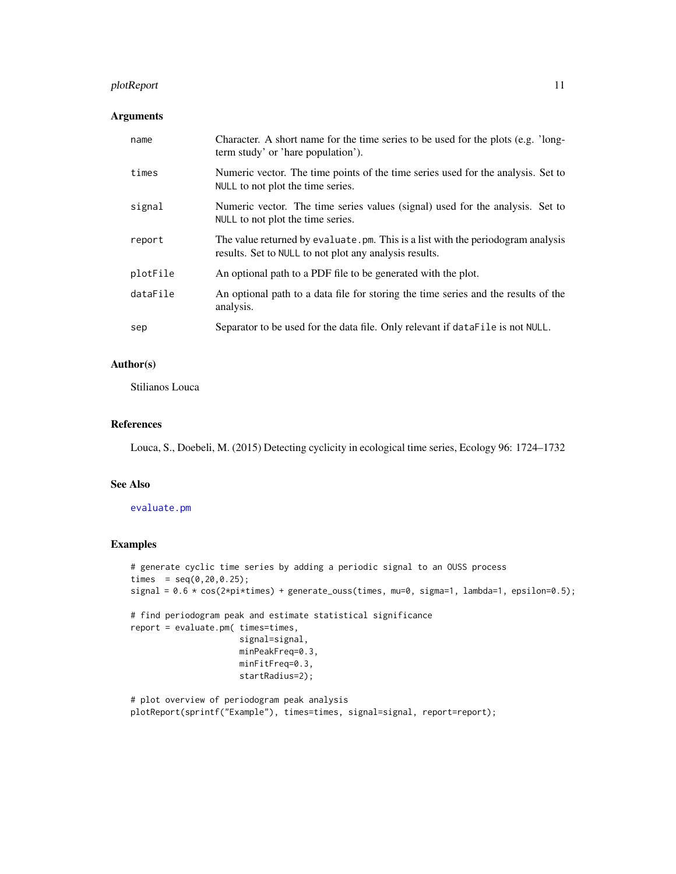## <span id="page-10-0"></span>plotReport 11

## Arguments

| name     | Character. A short name for the time series to be used for the plots (e.g. 'long-<br>term study' or 'hare population').                    |
|----------|--------------------------------------------------------------------------------------------------------------------------------------------|
| times    | Numeric vector. The time points of the time series used for the analysis. Set to<br>NULL to not plot the time series.                      |
| signal   | Numeric vector. The time series values (signal) used for the analysis. Set to<br>NULL to not plot the time series.                         |
| report   | The value returned by evaluate. pm. This is a list with the periodogram analysis<br>results. Set to NULL to not plot any analysis results. |
| plotFile | An optional path to a PDF file to be generated with the plot.                                                                              |
| dataFile | An optional path to a data file for storing the time series and the results of the<br>analysis.                                            |
| sep      | Separator to be used for the data file. Only relevant if data File is not NULL.                                                            |

## Author(s)

Stilianos Louca

## References

Louca, S., Doebeli, M. (2015) Detecting cyclicity in ecological time series, Ecology 96: 1724–1732

#### See Also

## [evaluate.pm](#page-3-1)

## Examples

```
# generate cyclic time series by adding a periodic signal to an OUSS process
times = seq(0, 20, 0.25);
signal = 0.6 \times \cos(2\pi\pi) + generate_ouss(times, mu=0, sigma=1, lambda=1, epsilon=0.5);
# find periodogram peak and estimate statistical significance
report = evaluate.pm( times=times,
                      signal=signal,
                      minPeakFreq=0.3,
                      minFitFreq=0.3,
                      startRadius=2);
```
# plot overview of periodogram peak analysis plotReport(sprintf("Example"), times=times, signal=signal, report=report);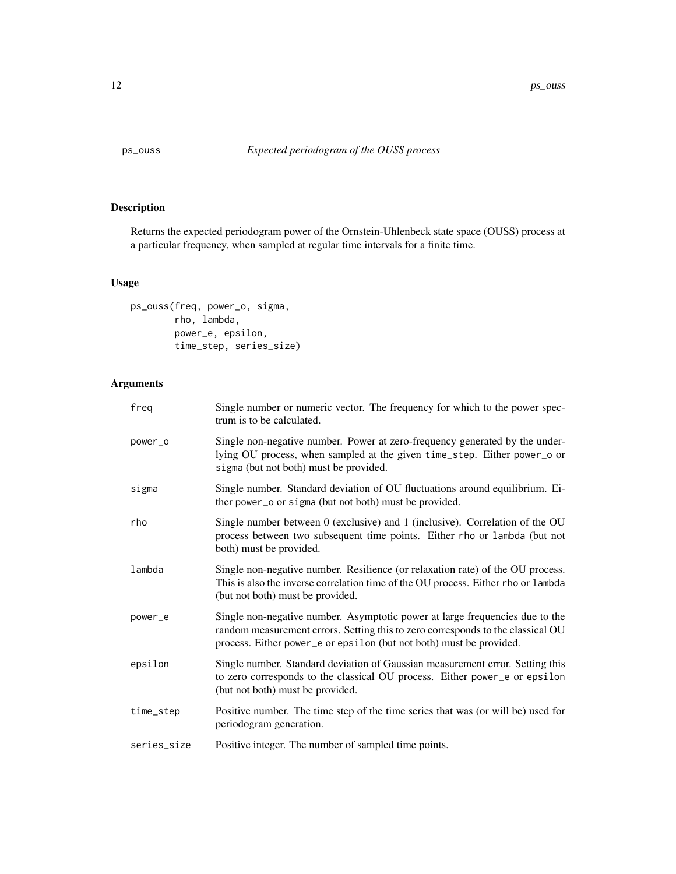<span id="page-11-1"></span><span id="page-11-0"></span>

Returns the expected periodogram power of the Ornstein-Uhlenbeck state space (OUSS) process at a particular frequency, when sampled at regular time intervals for a finite time.

## Usage

```
ps_ouss(freq, power_o, sigma,
        rho, lambda,
        power_e, epsilon,
        time_step, series_size)
```
## Arguments

| freg        | Single number or numeric vector. The frequency for which to the power spec-<br>trum is to be calculated.                                                                                                                               |
|-------------|----------------------------------------------------------------------------------------------------------------------------------------------------------------------------------------------------------------------------------------|
| power_o     | Single non-negative number. Power at zero-frequency generated by the under-<br>lying OU process, when sampled at the given time_step. Either power_o or<br>sigma (but not both) must be provided.                                      |
| sigma       | Single number. Standard deviation of OU fluctuations around equilibrium. Ei-<br>ther power_o or sigma (but not both) must be provided.                                                                                                 |
| rho         | Single number between 0 (exclusive) and 1 (inclusive). Correlation of the OU<br>process between two subsequent time points. Either rho or lambda (but not<br>both) must be provided.                                                   |
| lambda      | Single non-negative number. Resilience (or relaxation rate) of the OU process.<br>This is also the inverse correlation time of the OU process. Either rho or lambda<br>(but not both) must be provided.                                |
| power_e     | Single non-negative number. Asymptotic power at large frequencies due to the<br>random measurement errors. Setting this to zero corresponds to the classical OU<br>process. Either power_e or epsilon (but not both) must be provided. |
| epsilon     | Single number. Standard deviation of Gaussian measurement error. Setting this<br>to zero corresponds to the classical OU process. Either power_e or epsilon<br>(but not both) must be provided.                                        |
| time_step   | Positive number. The time step of the time series that was (or will be) used for<br>periodogram generation.                                                                                                                            |
| series_size | Positive integer. The number of sampled time points.                                                                                                                                                                                   |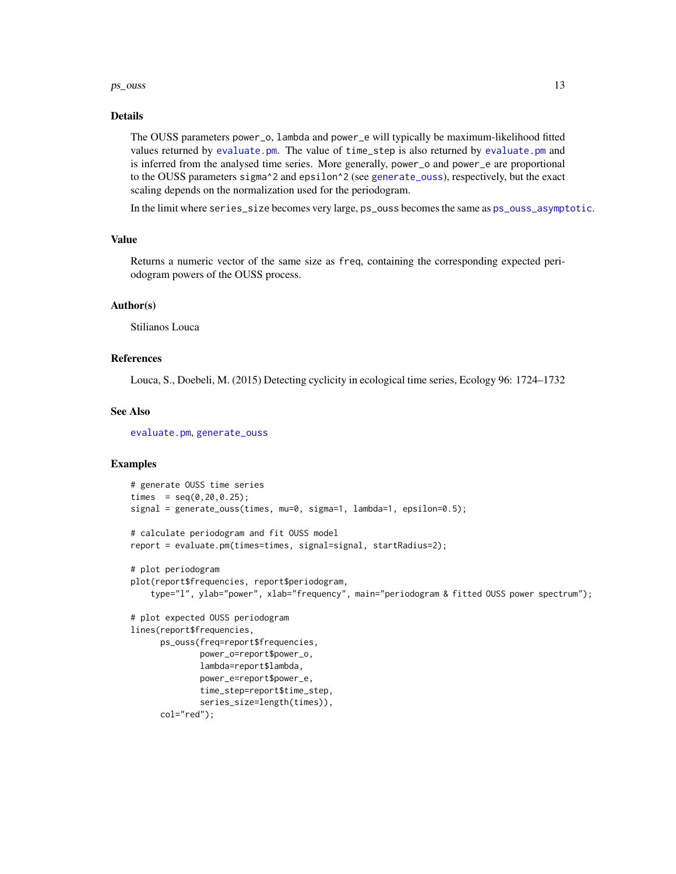#### <span id="page-12-0"></span> $ps\_ouss$  13

#### Details

The OUSS parameters power\_o, lambda and power\_e will typically be maximum-likelihood fitted values returned by [evaluate.pm](#page-3-1). The value of time\_step is also returned by [evaluate.pm](#page-3-1) and is inferred from the analysed time series. More generally, power\_o and power\_e are proportional to the OUSS parameters sigma<sup> $\lambda$ </sup> 2 and epsilon<sup> $\lambda$ </sup> 2 (see [generate\\_ouss](#page-8-1)), respectively, but the exact scaling depends on the normalization used for the periodogram.

In the limit where series\_size becomes very large, ps\_ouss becomes the same as [ps\\_ouss\\_asymptotic](#page-13-1).

## Value

Returns a numeric vector of the same size as freq, containing the corresponding expected periodogram powers of the OUSS process.

## Author(s)

Stilianos Louca

## References

Louca, S., Doebeli, M. (2015) Detecting cyclicity in ecological time series, Ecology 96: 1724–1732

## See Also

[evaluate.pm](#page-3-1), [generate\\_ouss](#page-8-1)

```
# generate OUSS time series
times = seq(0, 20, 0.25);
signal = generate_ouss(times, mu=0, sigma=1, lambda=1, epsilon=0.5);
# calculate periodogram and fit OUSS model
report = evaluate.pm(times=times, signal=signal, startRadius=2);
# plot periodogram
plot(report$frequencies, report$periodogram,
    type="l", ylab="power", xlab="frequency", main="periodogram & fitted OUSS power spectrum");
# plot expected OUSS periodogram
lines(report$frequencies,
     ps_ouss(freq=report$frequencies,
              power_o=report$power_o,
              lambda=report$lambda,
              power_e=report$power_e,
              time_step=report$time_step,
              series_size=length(times)),
      col="red");
```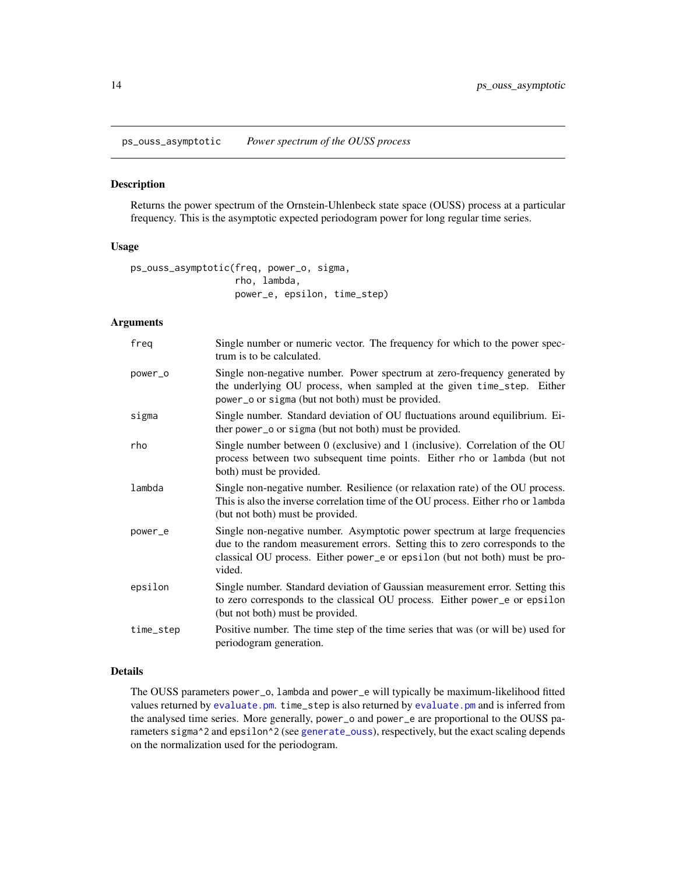<span id="page-13-1"></span><span id="page-13-0"></span>ps\_ouss\_asymptotic *Power spectrum of the OUSS process*

## Description

Returns the power spectrum of the Ornstein-Uhlenbeck state space (OUSS) process at a particular frequency. This is the asymptotic expected periodogram power for long regular time series.

#### Usage

```
ps_ouss_asymptotic(freq, power_o, sigma,
                   rho, lambda,
                   power_e, epsilon, time_step)
```
### Arguments

| freg      | Single number or numeric vector. The frequency for which to the power spec-<br>trum is to be calculated.                                                                                                                                             |
|-----------|------------------------------------------------------------------------------------------------------------------------------------------------------------------------------------------------------------------------------------------------------|
| power_o   | Single non-negative number. Power spectrum at zero-frequency generated by<br>the underlying OU process, when sampled at the given time_step. Either<br>power_o or sigma (but not both) must be provided.                                             |
| sigma     | Single number. Standard deviation of OU fluctuations around equilibrium. Ei-<br>ther power_o or sigma (but not both) must be provided.                                                                                                               |
| rho       | Single number between 0 (exclusive) and 1 (inclusive). Correlation of the OU<br>process between two subsequent time points. Either rho or lambda (but not<br>both) must be provided.                                                                 |
| lambda    | Single non-negative number. Resilience (or relaxation rate) of the OU process.<br>This is also the inverse correlation time of the OU process. Either rho or lambda<br>(but not both) must be provided.                                              |
| power_e   | Single non-negative number. Asymptotic power spectrum at large frequencies<br>due to the random measurement errors. Setting this to zero corresponds to the<br>classical OU process. Either power_e or epsilon (but not both) must be pro-<br>vided. |
| epsilon   | Single number. Standard deviation of Gaussian measurement error. Setting this<br>to zero corresponds to the classical OU process. Either power_e or epsilon<br>(but not both) must be provided.                                                      |
| time_step | Positive number. The time step of the time series that was (or will be) used for<br>periodogram generation.                                                                                                                                          |

## Details

The OUSS parameters power\_o, lambda and power\_e will typically be maximum-likelihood fitted values returned by [evaluate.pm](#page-3-1). time\_step is also returned by [evaluate.pm](#page-3-1) and is inferred from the analysed time series. More generally, power\_o and power\_e are proportional to the OUSS parameters sigma^2 and epsilon^2 (see [generate\\_ouss](#page-8-1)), respectively, but the exact scaling depends on the normalization used for the periodogram.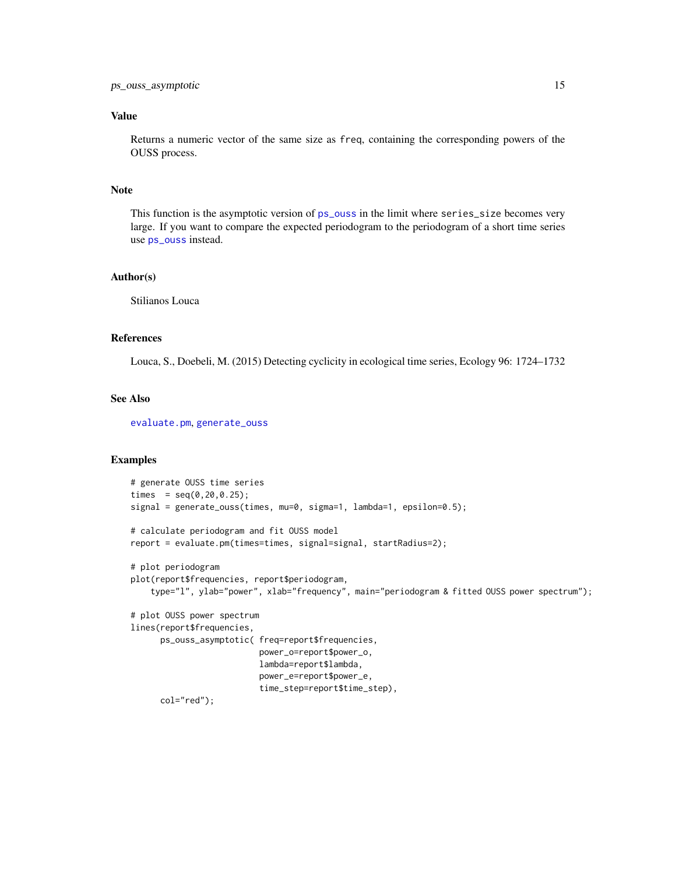## <span id="page-14-0"></span>Value

Returns a numeric vector of the same size as freq, containing the corresponding powers of the OUSS process.

## Note

This function is the asymptotic version of [ps\\_ouss](#page-11-1) in the limit where series\_size becomes very large. If you want to compare the expected periodogram to the periodogram of a short time series use [ps\\_ouss](#page-11-1) instead.

#### Author(s)

Stilianos Louca

## References

Louca, S., Doebeli, M. (2015) Detecting cyclicity in ecological time series, Ecology 96: 1724–1732

## See Also

[evaluate.pm](#page-3-1), [generate\\_ouss](#page-8-1)

```
# generate OUSS time series
times = seq(0, 20, 0.25);
signal = generate_ouss(times, mu=0, sigma=1, lambda=1, epsilon=0.5);
# calculate periodogram and fit OUSS model
report = evaluate.pm(times=times, signal=signal, startRadius=2);
# plot periodogram
plot(report$frequencies, report$periodogram,
    type="l", ylab="power", xlab="frequency", main="periodogram & fitted OUSS power spectrum");
# plot OUSS power spectrum
lines(report$frequencies,
     ps_ouss_asymptotic( freq=report$frequencies,
                          power_o=report$power_o,
                          lambda=report$lambda,
                          power_e=report$power_e,
                          time_step=report$time_step),
     col="red");
```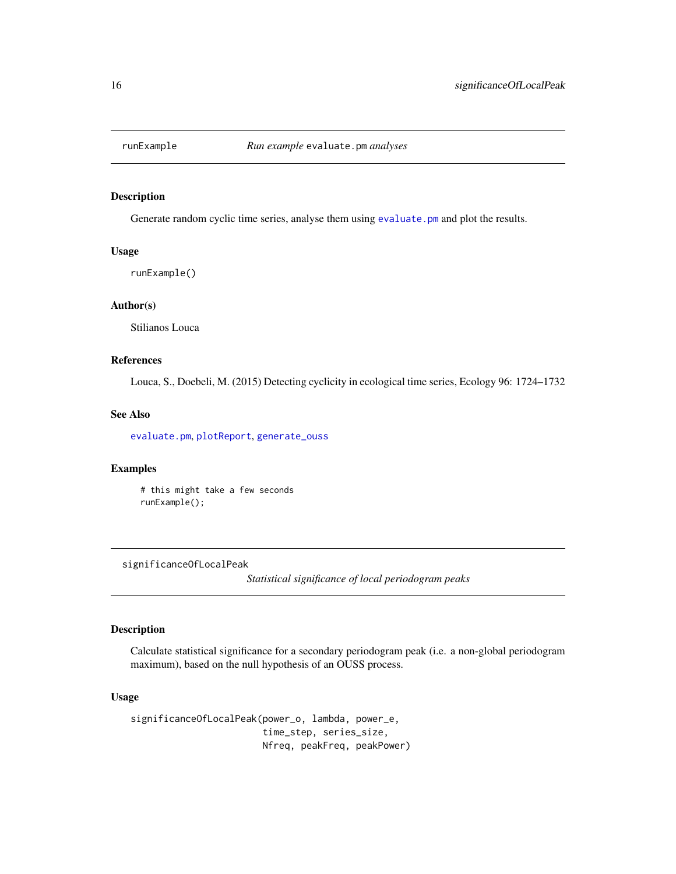<span id="page-15-2"></span><span id="page-15-0"></span>

Generate random cyclic time series, analyse them using [evaluate.pm](#page-3-1) and plot the results.

## Usage

runExample()

#### Author(s)

Stilianos Louca

## References

Louca, S., Doebeli, M. (2015) Detecting cyclicity in ecological time series, Ecology 96: 1724–1732

## See Also

[evaluate.pm](#page-3-1), [plotReport](#page-9-1), [generate\\_ouss](#page-8-1)

## Examples

# this might take a few seconds runExample();

<span id="page-15-1"></span>significanceOfLocalPeak

*Statistical significance of local periodogram peaks*

## Description

Calculate statistical significance for a secondary periodogram peak (i.e. a non-global periodogram maximum), based on the null hypothesis of an OUSS process.

## Usage

significanceOfLocalPeak(power\_o, lambda, power\_e, time\_step, series\_size, Nfreq, peakFreq, peakPower)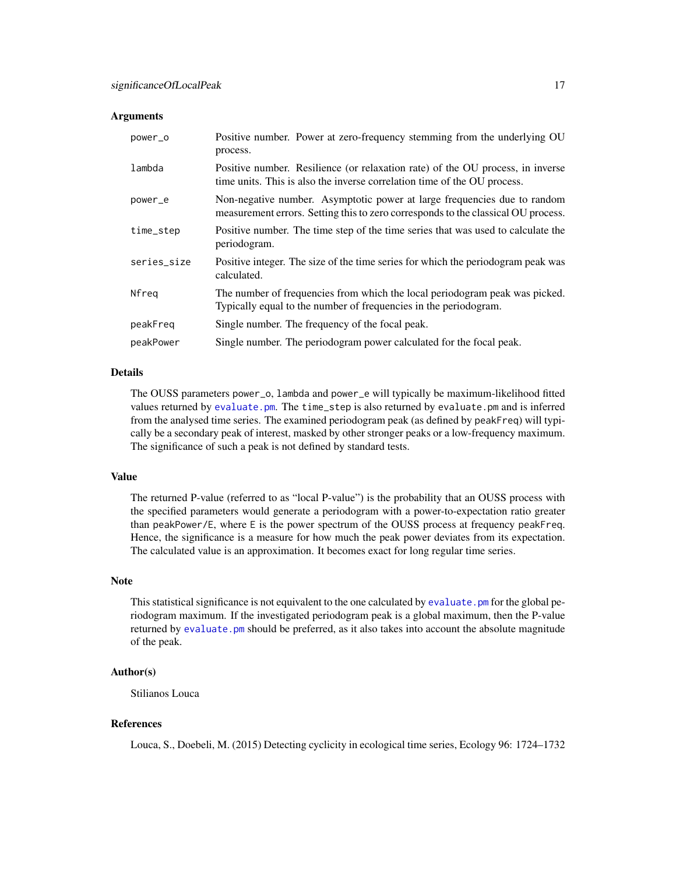#### **Arguments**

| power_o     | Positive number. Power at zero-frequency stemming from the underlying OU<br>process.                                                                          |
|-------------|---------------------------------------------------------------------------------------------------------------------------------------------------------------|
| lambda      | Positive number. Resilience (or relaxation rate) of the OU process, in inverse<br>time units. This is also the inverse correlation time of the OU process.    |
| power_e     | Non-negative number. Asymptotic power at large frequencies due to random<br>measurement errors. Setting this to zero corresponds to the classical OU process. |
| time_step   | Positive number. The time step of the time series that was used to calculate the<br>periodogram.                                                              |
| series_size | Positive integer. The size of the time series for which the periodogram peak was<br>calculated.                                                               |
| Nfreg       | The number of frequencies from which the local periodogram peak was picked.<br>Typically equal to the number of frequencies in the periodogram.               |
| peakFreg    | Single number. The frequency of the focal peak.                                                                                                               |
| peakPower   | Single number. The periodogram power calculated for the focal peak.                                                                                           |

#### Details

The OUSS parameters power\_o, lambda and power\_e will typically be maximum-likelihood fitted values returned by [evaluate.pm](#page-3-1). The time\_step is also returned by evaluate.pm and is inferred from the analysed time series. The examined periodogram peak (as defined by peakFreq) will typically be a secondary peak of interest, masked by other stronger peaks or a low-frequency maximum. The significance of such a peak is not defined by standard tests.

## Value

The returned P-value (referred to as "local P-value") is the probability that an OUSS process with the specified parameters would generate a periodogram with a power-to-expectation ratio greater than peakPower/E, where E is the power spectrum of the OUSS process at frequency peakFreq. Hence, the significance is a measure for how much the peak power deviates from its expectation. The calculated value is an approximation. It becomes exact for long regular time series.

## Note

This statistical significance is not equivalent to the one calculated by [evaluate.pm](#page-3-1) for the global periodogram maximum. If the investigated periodogram peak is a global maximum, then the P-value returned by [evaluate.pm](#page-3-1) should be preferred, as it also takes into account the absolute magnitude of the peak.

## Author(s)

Stilianos Louca

## References

Louca, S., Doebeli, M. (2015) Detecting cyclicity in ecological time series, Ecology 96: 1724–1732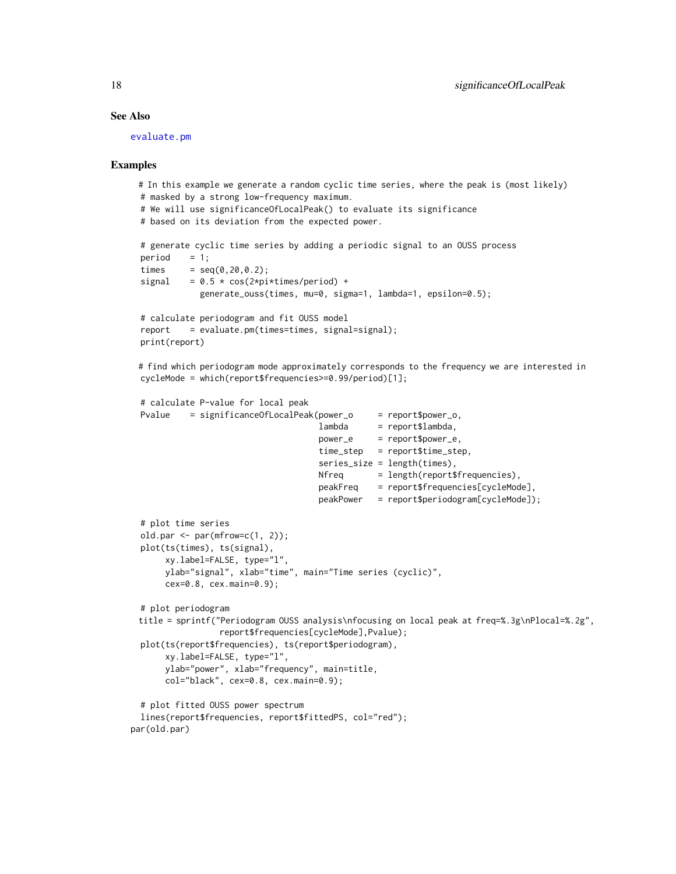## <span id="page-17-0"></span>See Also

[evaluate.pm](#page-3-1)

```
# In this example we generate a random cyclic time series, where the peak is (most likely)
 # masked by a strong low-frequency maximum.
 # We will use significanceOfLocalPeak() to evaluate its significance
 # based on its deviation from the expected power.
 # generate cyclic time series by adding a periodic signal to an OUSS process
 period = 1;times = seq(0, 20, 0.2);
 signal = 0.5 \times \cos(2 \times pi \times t \text{imes/period}) +
             generate_ouss(times, mu=0, sigma=1, lambda=1, epsilon=0.5);
 # calculate periodogram and fit OUSS model
 report = evaluate.pm(times=times, signal=signal);
 print(report)
 # find which periodogram mode approximately corresponds to the frequency we are interested in
 cycleMode = which(report$frequencies>=0.99/period)[1];
 # calculate P-value for local peak
 Pvalue = significanceOfLocalPeak(power_o = report$power_o,
                                     lambda = report$lambda,
                                     power_e = report$power_e,
                                     time_step = report$time_step,
                                     series_size = length(times),
                                     Nfreq = length(report$frequencies),
                                     peakFreq = report$frequencies[cycleMode],
                                     peakPower = report$periodogram[cycleMode]);
 # plot time series
 old.par \leq par(mfrow=c(1, 2));
 plot(ts(times), ts(signal),
      xy.label=FALSE, type="l",
      ylab="signal", xlab="time", main="Time series (cyclic)",
      cex=0.8, cex.main=0.9);
 # plot periodogram
 title = sprintf("Periodogram OUSS analysis\nfocusing on local peak at freq=%.3g\nPlocal=%.2g",
                 report$frequencies[cycleMode],Pvalue);
 plot(ts(report$frequencies), ts(report$periodogram),
      xy.label=FALSE, type="l",
      ylab="power", xlab="frequency", main=title,
      col="black", cex=0.8, cex.main=0.9);
 # plot fitted OUSS power spectrum
 lines(report$frequencies, report$fittedPS, col="red");
par(old.par)
```